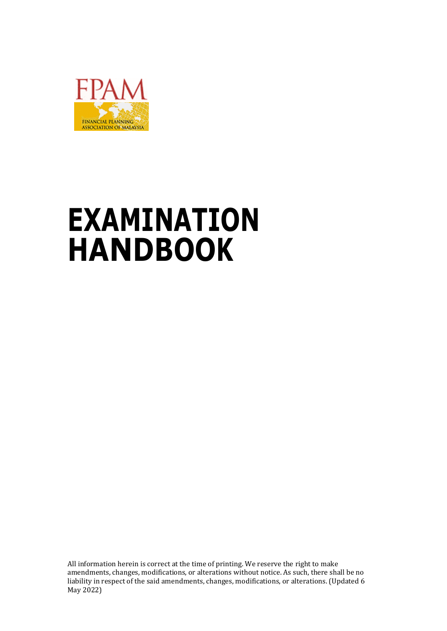

# **EXAMINATION HANDBOOK**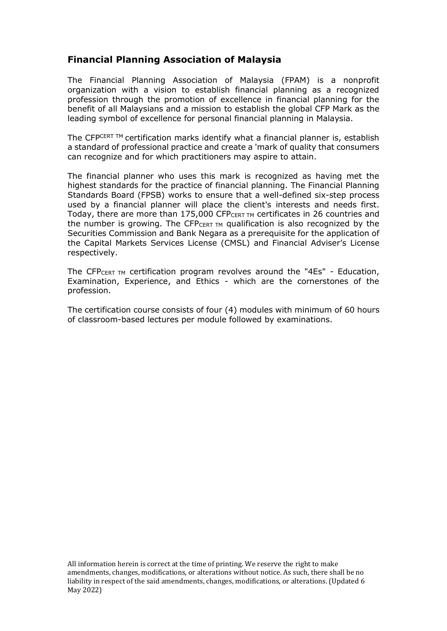# **Financial Planning Association of Malaysia**

The Financial Planning Association of Malaysia (FPAM) is a nonprofit organization with a vision to establish financial planning as a recognized profession through the promotion of excellence in financial planning for the benefit of all Malaysians and a mission to establish the global CFP Mark as the leading symbol of excellence for personal financial planning in Malaysia.

The CFPCERT™ certification marks identify what a financial planner is, establish a standard of professional practice and create a 'mark of quality that consumers can recognize and for which practitioners may aspire to attain.

The financial planner who uses this mark is recognized as having met the highest standards for the practice of financial planning. The Financial Planning Standards Board (FPSB) works to ensure that a well-defined six-step process used by a financial planner will place the client's interests and needs first. Today, there are more than 175,000 CFPCERT TM certificates in 26 countries and the number is growing. The CFP $_{CERT}$   $_{TM}$  qualification is also recognized by the Securities Commission and Bank Negara as a prerequisite for the application of the Capital Markets Services License (CMSL) and Financial Adviser's License respectively.

The CFPCERT TM certification program revolves around the "4Es" - Education, Examination, Experience, and Ethics - which are the cornerstones of the profession.

The certification course consists of four (4) modules with minimum of 60 hours of classroom-based lectures per module followed by examinations.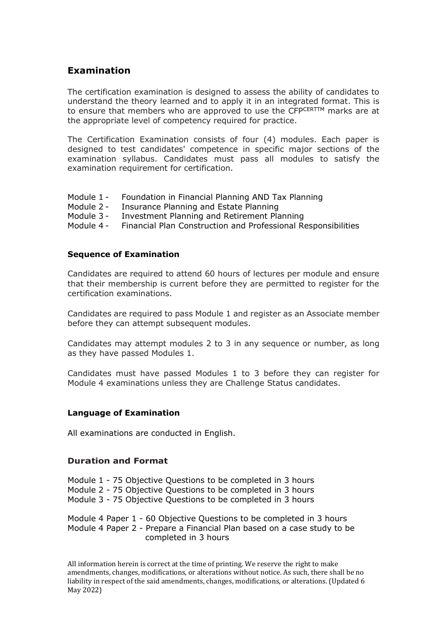# **Examination**

The certification examination is designed to assess the ability of candidates to understand the theory learned and to apply it in an integrated format. This is to ensure that members who are approved to use the CFPCERTTM marks are at the appropriate level of competency required for practice.

The Certification Examination consists of four (4) modules. Each paper is designed to test candidates' competence in specific major sections of the examination syllabus. Candidates must pass all modules to satisfy the examination requirement for certification.

- Module 1 Foundation in Financial Planning AND Tax Planning
- Module 2 Insurance Planning and Estate Planning
- Module 3 Investment Planning and Retirement Planning
- Module 4 Financial Plan Construction and Professional Responsibilities

#### **Sequence of Examination**

Candidates are required to attend 60 hours of lectures per module and ensure that their membership is current before they are permitted to register for the certification examinations.

Candidates are required to pass Module 1 and register as an Associate member before they can attempt subsequent modules.

Candidates may attempt modules 2 to 3 in any sequence or number, as long as they have passed Modules 1.

Candidates must have passed Modules 1 to 3 before they can register for Module 4 examinations unless they are Challenge Status candidates.

#### **Language of Examination**

All examinations are conducted in English.

#### **Duration and Format**

Module 1 - 75 Objective Questions to be completed in 3 hours Module 2 - 75 Objective Questions to be completed in 3 hours Module 3 - 75 Objective Questions to be completed in 3 hours

Module 4 Paper 1 - 60 Objective Questions to be completed in 3 hours Module 4 Paper 2 - Prepare a Financial Plan based on a case study to be completed in 3 hours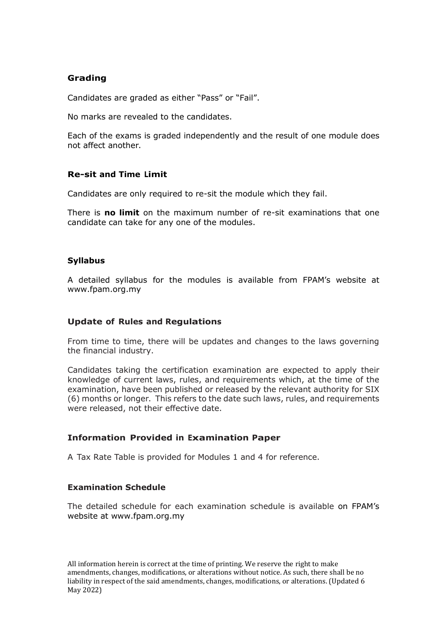## **Grading**

Candidates are graded as either "Pass" or "Fail".

No marks are revealed to the candidates.

Each of the exams is graded independently and the result of one module does not affect another.

#### **Re-sit and Time Limit**

Candidates are only required to re-sit the module which they fail.

There is **no limit** on the maximum number of re-sit examinations that one candidate can take for any one of the modules.

#### **Syllabus**

A detailed syllabus for the modules is available from FPAM's website at www.fpam.org.my

#### **Update of Rules and Regulations**

From time to time, there will be updates and changes to the laws governing the financial industry.

Candidates taking the certification examination are expected to apply their knowledge of current laws, rules, and requirements which, at the time of the examination, have been published or released by the relevant authority for SIX (6) months or longer. This refers to the date such laws, rules, and requirements were released, not their effective date.

#### **Information Provided in Examination Paper**

A Tax Rate Table is provided for Modules 1 and 4 for reference.

#### **Examination Schedule**

The detailed schedule for each examination schedule is available on FPAM's website at www.fpam.org.my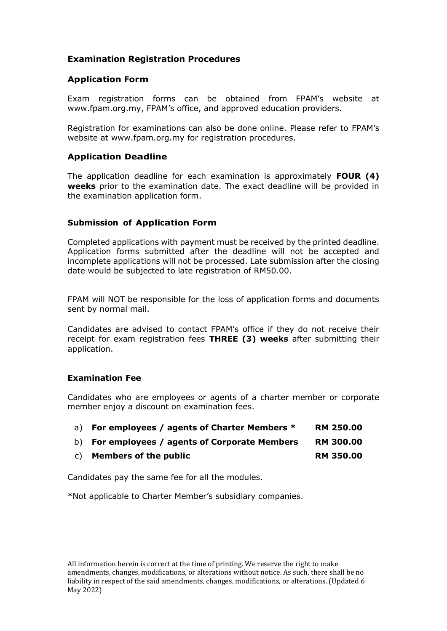# **Examination Registration Procedures**

## **Application Form**

Exam registration forms can be obtained from FPAM's website at [www.fpam.org.my](http://www.fpam.org.my/), FPAM's office, and approved education providers.

Registration for examinations can also be done online. Please refer to FPAM's website at [www.fpam.org.my](http://www.fpam.org.my/) for registration procedures.

#### **Application Deadline**

The application deadline for each examination is approximately **FOUR (4) weeks** prior to the examination date. The exact deadline will be provided in the examination application form.

## **Submission of Application Form**

Completed applications with payment must be received by the printed deadline. Application forms submitted after the deadline will not be accepted and incomplete applications will not be processed. Late submission after the closing date would be subjected to late registration of RM50.00.

FPAM will NOT be responsible for the loss of application forms and documents sent by normal mail.

Candidates are advised to contact FPAM's office if they do not receive their receipt for exam registration fees **THREE (3) weeks** after submitting their application.

#### **Examination Fee**

Candidates who are employees or agents of a charter member or corporate member enjoy a discount on examination fees.

|  |  | a) For employees / agents of Charter Members * | <b>RM 250.00</b> |
|--|--|------------------------------------------------|------------------|
|--|--|------------------------------------------------|------------------|

- b) **For employees / agents of Corporate Members RM 300.00**
- c) **Members of the public RM 350.00**

Candidates pay the same fee for all the modules.

\*Not applicable to Charter Member's subsidiary companies.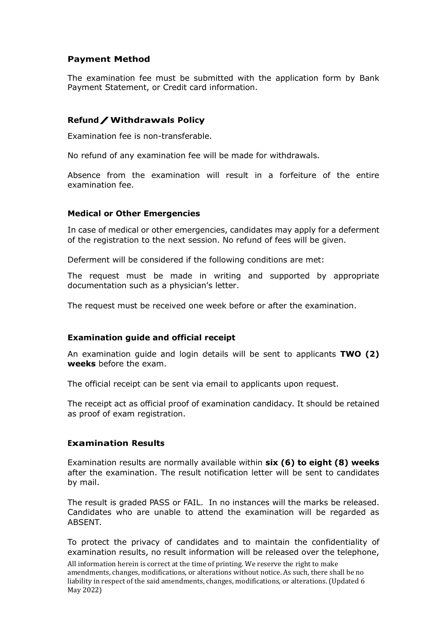#### **Payment Method**

The examination fee must be submitted with the application form by Bank Payment Statement, or Credit card information.

## **Refund/Withdrawals Policy**

Examination fee is non-transferable.

No refund of any examination fee will be made for withdrawals.

Absence from the examination will result in a forfeiture of the entire examination fee.

#### **Medical or Other Emergencies**

In case of medical or other emergencies, candidates may apply for a deferment of the registration to the next session. No refund of fees will be given.

Deferment will be considered if the following conditions are met:

The request must be made in writing and supported by appropriate documentation such as a physician's letter.

The request must be received one week before or after the examination.

#### **Examination guide and official receipt**

An examination guide and login details will be sent to applicants **TWO (2) weeks** before the exam.

The official receipt can be sent via email to applicants upon request.

The receipt act as official proof of examination candidacy. It should be retained as proof of exam registration.

#### **Examination Results**

Examination results are normally available within **six (6) to eight (8) weeks** after the examination. The result notification letter will be sent to candidates by mail.

The result is graded PASS or FAIL. In no instances will the marks be released. Candidates who are unable to attend the examination will be regarded as **ABSENT** 

To protect the privacy of candidates and to maintain the confidentiality of examination results, no result information will be released over the telephone,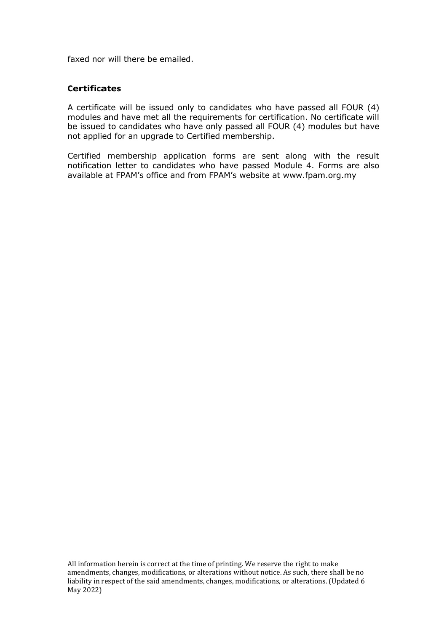faxed nor will there be emailed.

#### **Certificates**

A certificate will be issued only to candidates who have passed all FOUR (4) modules and have met all the requirements for certification. No certificate will be issued to candidates who have only passed all FOUR (4) modules but have not applied for an upgrade to Certified membership.

Certified membership application forms are sent along with the result notification letter to candidates who have passed Module 4. Forms are also available at FPAM's office and from FPAM's website at [www.fpam.org.my](http://www.fpam.org.my/)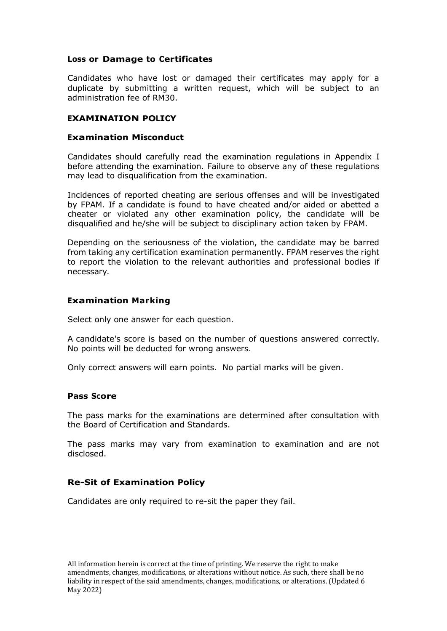#### **Loss or Damage to Certificates**

Candidates who have lost or damaged their certificates may apply for a duplicate by submitting a written request, which will be subject to an administration fee of RM30.

#### **EXAMINATION POLICY**

#### **Examination Misconduct**

Candidates should carefully read the examination regulations in Appendix I before attending the examination. Failure to observe any of these regulations may lead to disqualification from the examination.

Incidences of reported cheating are serious offenses and will be investigated by FPAM. If a candidate is found to have cheated and/or aided or abetted a cheater or violated any other examination policy, the candidate will be disqualified and he/she will be subject to disciplinary action taken by FPAM.

Depending on the seriousness of the violation, the candidate may be barred from taking any certification examination permanently. FPAM reserves the right to report the violation to the relevant authorities and professional bodies if necessary.

#### **Examination Marking**

Select only one answer for each question.

A candidate's score is based on the number of questions answered correctly. No points will be deducted for wrong answers.

Only correct answers will earn points. No partial marks will be given.

#### **Pass Score**

The pass marks for the examinations are determined after consultation with the Board of Certification and Standards.

The pass marks may vary from examination to examination and are not disclosed.

#### **Re-Sit of Examination Policy**

Candidates are only required to re-sit the paper they fail.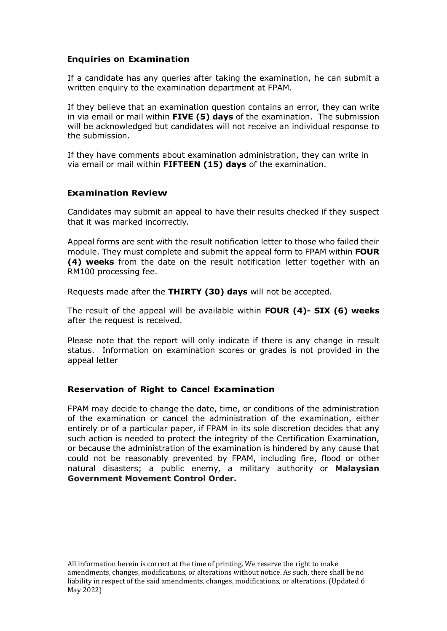#### **Enquiries on Examination**

If a candidate has any queries after taking the examination, he can submit a written enquiry to the examination department at FPAM.

If they believe that an examination question contains an error, they can write in via email or mail within **FIVE (5) days** of the examination. The submission will be acknowledged but candidates will not receive an individual response to the submission.

If they have comments about examination administration, they can write in via email or mail within **FIFTEEN (15) days** of the examination.

## **Examination Review**

Candidates may submit an appeal to have their results checked if they suspect that it was marked incorrectly.

Appeal forms are sent with the result notification letter to those who failed their module. They must complete and submit the appeal form to FPAM within **FOUR (4) weeks** from the date on the result notification letter together with an RM100 processing fee.

Requests made after the **THIRTY (30) days** will not be accepted.

The result of the appeal will be available within **FOUR (4)- SIX (6) weeks** after the request is received.

Please note that the report will only indicate if there is any change in result status. Information on examination scores or grades is not provided in the appeal letter

#### **Reservation of Right to Cancel Examination**

FPAM may decide to change the date, time, or conditions of the administration of the examination or cancel the administration of the examination, either entirely or of a particular paper, if FPAM in its sole discretion decides that any such action is needed to protect the integrity of the Certification Examination, or because the administration of the examination is hindered by any cause that could not be reasonably prevented by FPAM, including fire, flood or other natural disasters; a public enemy, a military authority or **Malaysian Government Movement Control Order.**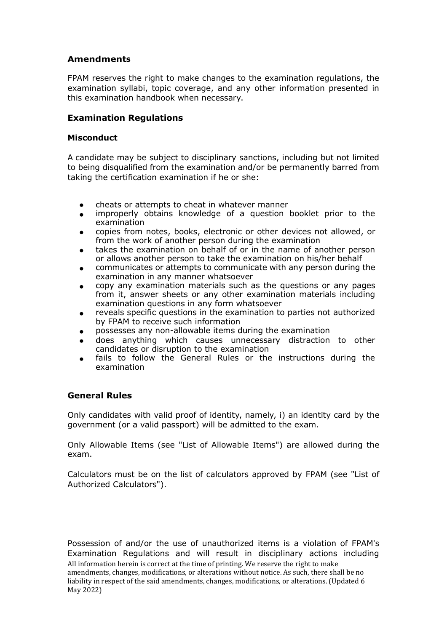## **Amendments**

FPAM reserves the right to make changes to the examination regulations, the examination syllabi, topic coverage, and any other information presented in this examination handbook when necessary.

## **Examination Regulations**

#### **Misconduct**

A candidate may be subject to disciplinary sanctions, including but not limited to being disqualified from the examination and/or be permanently barred from taking the certification examination if he or she:

- cheats or attempts to cheat in whatever manner
- improperly obtains knowledge of a question booklet prior to the examination
- copies from notes, books, electronic or other devices not allowed, or from the work of another person during the examination
- takes the examination on behalf of or in the name of another person or allows another person to take the examination on his/her behalf
- communicates or attempts to communicate with any person during the examination in any manner whatsoever
- copy any examination materials such as the questions or any pages from it, answer sheets or any other examination materials including examination questions in any form whatsoever
- reveals specific questions in the examination to parties not authorized by FPAM to receive such information
- possesses any non-allowable items during the examination
- does anything which causes unnecessary distraction to other candidates or disruption to the examination
- fails to follow the General Rules or the instructions during the examination

#### **General Rules**

Only candidates with valid proof of identity, namely, i) an identity card by the government (or a valid passport) will be admitted to the exam.

Only Allowable Items (see "List of Allowable Items") are allowed during the exam.

Calculators must be on the list of calculators approved by FPAM (see "List of Authorized Calculators").

All information herein is correct at the time of printing. We reserve the right to make amendments, changes, modifications, or alterations without notice. As such, there shall be no liability in respect of the said amendments, changes, modifications, or alterations. (Updated 6 May 2022) Possession of and/or the use of unauthorized items is a violation of FPAM's Examination Regulations and will result in disciplinary actions including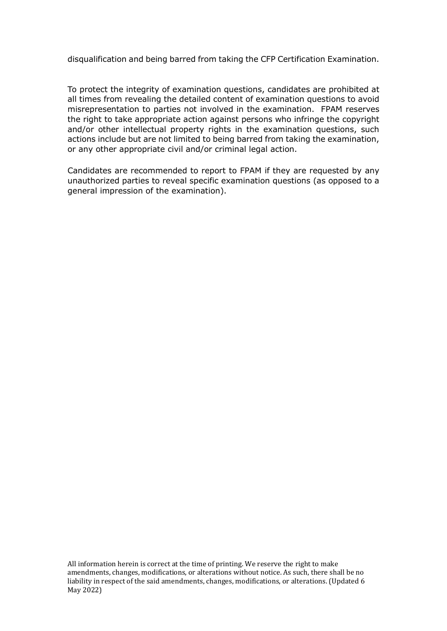disqualification and being barred from taking the CFP Certification Examination.

To protect the integrity of examination questions, candidates are prohibited at all times from revealing the detailed content of examination questions to avoid misrepresentation to parties not involved in the examination. FPAM reserves the right to take appropriate action against persons who infringe the copyright and/or other intellectual property rights in the examination questions, such actions include but are not limited to being barred from taking the examination, or any other appropriate civil and/or criminal legal action.

Candidates are recommended to report to FPAM if they are requested by any unauthorized parties to reveal specific examination questions (as opposed to a general impression of the examination).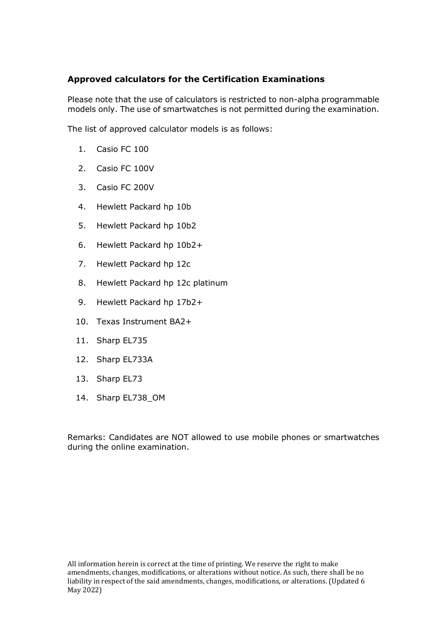# **Approved calculators for the Certification Examinations**

Please note that the use of calculators is restricted to non-alpha programmable models only. The use of smartwatches is not permitted during the examination.

The list of approved calculator models is as follows:

- 1. Casio FC 100
- 2. Casio FC 100V
- 3. Casio FC 200V
- 4. Hewlett Packard hp 10b
- 5. Hewlett Packard hp 10b2
- 6. Hewlett Packard hp 10b2+
- 7. Hewlett Packard hp 12c
- 8. Hewlett Packard hp 12c platinum
- 9. Hewlett Packard hp 17b2+
- 10. Texas Instrument BA2+
- 11. Sharp EL735
- 12. Sharp EL733A
- 13. Sharp EL73
- 14. Sharp EL738\_OM

Remarks: Candidates are NOT allowed to use mobile phones or smartwatches during the online examination.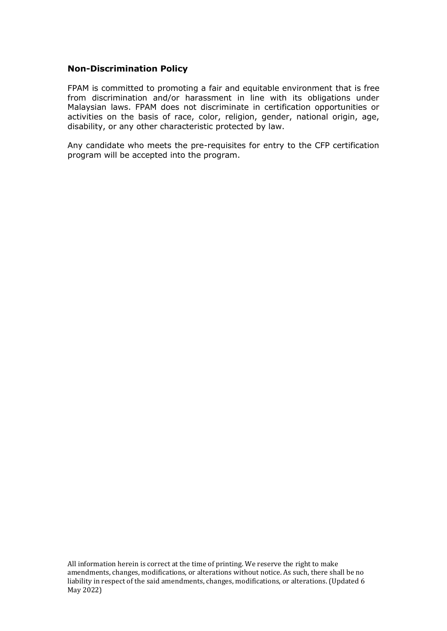#### **Non-Discrimination Policy**

FPAM is committed to promoting a fair and equitable environment that is free from discrimination and/or harassment in line with its obligations under Malaysian laws. FPAM does not discriminate in certification opportunities or activities on the basis of race, color, religion, gender, national origin, age, disability, or any other characteristic protected by law.

Any candidate who meets the pre-requisites for entry to the CFP certification program will be accepted into the program.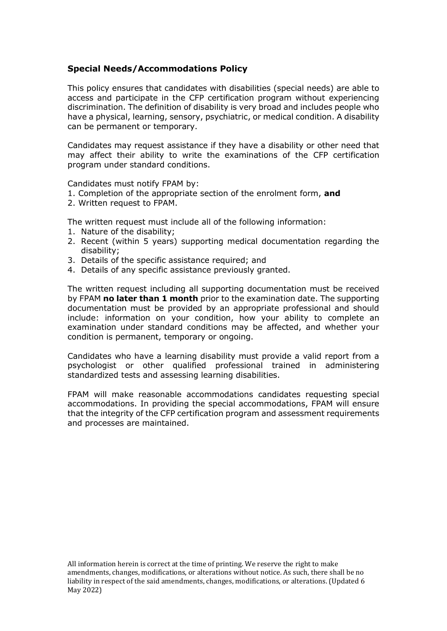## **Special Needs/Accommodations Policy**

This policy ensures that candidates with disabilities (special needs) are able to access and participate in the CFP certification program without experiencing discrimination. The definition of disability is very broad and includes people who have a physical, learning, sensory, psychiatric, or medical condition. A disability can be permanent or temporary.

Candidates may request assistance if they have a disability or other need that may affect their ability to write the examinations of the CFP certification program under standard conditions.

Candidates must notify FPAM by:

- 1. Completion of the appropriate section of the enrolment form, **and**
- 2. Written request to FPAM.

The written request must include all of the following information:

- 1. Nature of the disability;
- 2. Recent (within 5 years) supporting medical documentation regarding the disability;
- 3. Details of the specific assistance required; and
- 4. Details of any specific assistance previously granted.

The written request including all supporting documentation must be received by FPAM **no later than 1 month** prior to the examination date. The supporting documentation must be provided by an appropriate professional and should include: information on your condition, how your ability to complete an examination under standard conditions may be affected, and whether your condition is permanent, temporary or ongoing.

Candidates who have a learning disability must provide a valid report from a psychologist or other qualified professional trained in administering standardized tests and assessing learning disabilities.

FPAM will make reasonable accommodations candidates requesting special accommodations. In providing the special accommodations, FPAM will ensure that the integrity of the CFP certification program and assessment requirements and processes are maintained.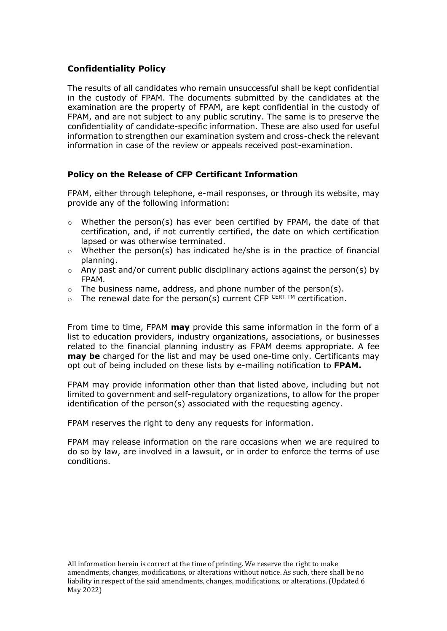# **Confidentiality Policy**

The results of all candidates who remain unsuccessful shall be kept confidential in the custody of FPAM. The documents submitted by the candidates at the examination are the property of FPAM, are kept confidential in the custody of FPAM, and are not subject to any public scrutiny. The same is to preserve the confidentiality of candidate-specific information. These are also used for useful information to strengthen our examination system and cross-check the relevant information in case of the review or appeals received post-examination.

## **Policy on the Release of CFP Certificant Information**

FPAM, either through telephone, e-mail responses, or through its website, may provide any of the following information:

- $\circ$  Whether the person(s) has ever been certified by FPAM, the date of that certification, and, if not currently certified, the date on which certification lapsed or was otherwise terminated.
- $\circ$  Whether the person(s) has indicated he/she is in the practice of financial planning.
- $\circ$  Any past and/or current public disciplinary actions against the person(s) by FPAM.
- o The business name, address, and phone number of the person(s).
- $\circ$  The renewal date for the person(s) current CFP CERT TM certification.

From time to time, FPAM **may** provide this same information in the form of a list to education providers, industry organizations, associations, or businesses related to the financial planning industry as FPAM deems appropriate. A fee **may be** charged for the list and may be used one-time only. Certificants may opt out of being included on these lists by e-mailing notification to **FPAM.**

FPAM may provide information other than that listed above, including but not limited to government and self-regulatory organizations, to allow for the proper identification of the person(s) associated with the requesting agency.

FPAM reserves the right to deny any requests for information.

FPAM may release information on the rare occasions when we are required to do so by law, are involved in a lawsuit, or in order to enforce the terms of use conditions.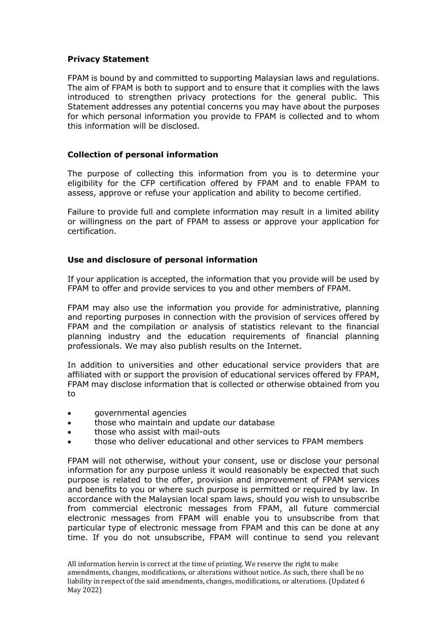#### **Privacy Statement**

FPAM is bound by and committed to supporting Malaysian laws and regulations. The aim of FPAM is both to support and to ensure that it complies with the laws introduced to strengthen privacy protections for the general public. This Statement addresses any potential concerns you may have about the purposes for which personal information you provide to FPAM is collected and to whom this information will be disclosed.

#### **Collection of personal information**

The purpose of collecting this information from you is to determine your eligibility for the CFP certification offered by FPAM and to enable FPAM to assess, approve or refuse your application and ability to become certified.

Failure to provide full and complete information may result in a limited ability or willingness on the part of FPAM to assess or approve your application for certification.

#### **Use and disclosure of personal information**

If your application is accepted, the information that you provide will be used by FPAM to offer and provide services to you and other members of FPAM.

FPAM may also use the information you provide for administrative, planning and reporting purposes in connection with the provision of services offered by FPAM and the compilation or analysis of statistics relevant to the financial planning industry and the education requirements of financial planning professionals. We may also publish results on the Internet.

In addition to universities and other educational service providers that are affiliated with or support the provision of educational services offered by FPAM, FPAM may disclose information that is collected or otherwise obtained from you to

- governmental agencies
- those who maintain and update our database
- those who assist with mail-outs
- those who deliver educational and other services to FPAM members

FPAM will not otherwise, without your consent, use or disclose your personal information for any purpose unless it would reasonably be expected that such purpose is related to the offer, provision and improvement of FPAM services and benefits to you or where such purpose is permitted or required by law. In accordance with the Malaysian local spam laws, should you wish to unsubscribe from commercial electronic messages from FPAM, all future commercial electronic messages from FPAM will enable you to unsubscribe from that particular type of electronic message from FPAM and this can be done at any time. If you do not unsubscribe, FPAM will continue to send you relevant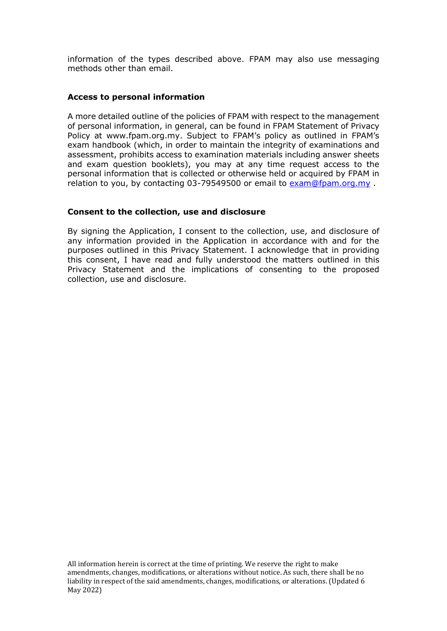information of the types described above. FPAM may also use messaging methods other than email.

#### **Access to personal information**

A more detailed outline of the policies of FPAM with respect to the management of personal information, in general, can be found in FPAM Statement of Privacy Policy at [www.fpam.org.my](http://www.fpam.org.my/). Subject to FPAM's policy as outlined in FPAM's exam handbook (which, in order to maintain the integrity of examinations and assessment, prohibits access to examination materials including answer sheets and exam question booklets), you may at any time request access to the personal information that is collected or otherwise held or acquired by FPAM in relation to you, by contacting 03-79549500 or email to [exam@fpam.org.my](mailto:exam@fpam.org.my) .

#### **Consent to the collection, use and disclosure**

By signing the Application, I consent to the collection, use, and disclosure of any information provided in the Application in accordance with and for the purposes outlined in this Privacy Statement. I acknowledge that in providing this consent, I have read and fully understood the matters outlined in this Privacy Statement and the implications of consenting to the proposed collection, use and disclosure.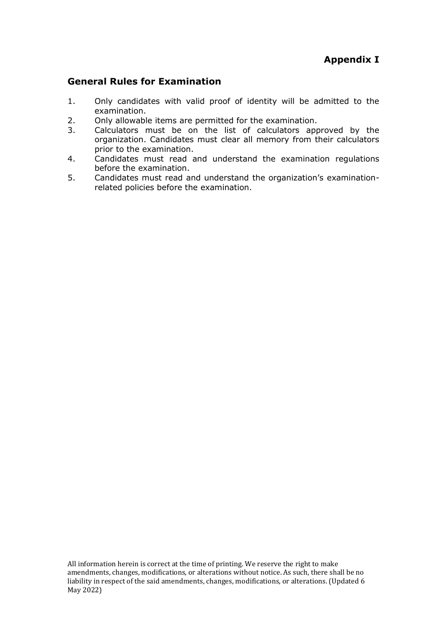# **General Rules for Examination**

- 1. Only candidates with valid proof of identity will be admitted to the examination.
- 2. Only allowable items are permitted for the examination.
- 3. Calculators must be on the list of calculators approved by the organization. Candidates must clear all memory from their calculators prior to the examination.
- 4. Candidates must read and understand the examination regulations before the examination.
- 5. Candidates must read and understand the organization's examinationrelated policies before the examination.